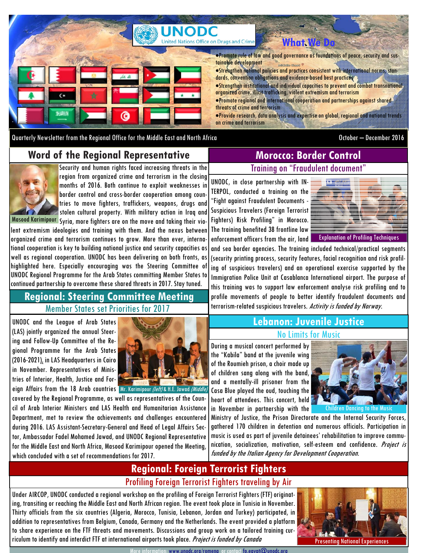

Quarterly Newsletter from the Regional Office for the Middle East and North Africa **October – December 2016** October – December 2016

# **Word of the Regional Representative**



Security and human rights faced increasing threats in the region from organized crime and terrorism in the closing months of 2016. Both continue to exploit weaknesses in border control and cross-border cooperation among countries to move fighters, traffickers, weapons, drugs and stolen cultural property. With military action in Iraq and Masood Karimipour Syria, more fighters are on the move and taking their vio-

lent extremism ideologies and training with them. And the nexus between organized crime and terrorism continues to grow. More than ever, international cooperation is key to building national justice and security capacities as well as regional cooperation. UNODC has been delivering on both fronts, as highlighted here. Especially encouraging was the Steering Committee of UNODC Regional Programme for the Arab States committing Member States to continued partnership to overcome these shared threats in 2017. Stay tuned.

## Member States set Priorities for 2017 **Regional: Steering Committee Meeting**

UNODC and the League of Arab States (LAS) jointly organized the annual Steering and Follow-Up Committee of the Regional Programme for the Arab States (2016-2021), in LAS Headquarters in Cairo in November. Representatives of Ministries of Interior, Health, Justice and Foreign Affairs from the 18 Arab countries Mr. Karimipour (left) & H.E. Jawad (Middle)



covered by the Regional Programme, as well as representatives of the Council of Arab Interior Ministers and LAS Health and Humanitarian Assistance Department, met to review the achievements and challenges encountered during 2016. LAS Assistant-Secretary-General and Head of Legal Affairs Sector, Ambassador Fadel Mohamed Jawad, and UNODC Regional Representative for the Middle East and North Africa, Masood Karimipour opened the Meeting, which concluded with a set of recommendations for 2017.

# Training on "Fraudulent document" **Morocco: Border Control**

UNODC, in close partnership with IN-TERPOL, conducted a training on the "Fight against Fraudulent Documents - Suspicious Travelers (Foreign Terrorist Fighters) Risk Profiling" in Morocco. The training benefited 38 frontline law enforcement officers from the air, land



Explanation of Profiling Techniques

and sea border agencies. The training included technical/practical segments (security printing process, security features, facial recognition and risk profiling of suspicious travelers) and an operational exercise supported by the Immigration Police Unit at Casablanca International airport. The purpose of this training was to support law enforcement analyse risk profiling and to profile movements of people to better identify fraudulent documents and terrorism-related suspicious travelers. Activity is funded by Norway.

## No Limits for Music **Lebanon: Juvenile Justice**

During a musical concert performed by the "Kabila" band at the juvenile wing of the Roumieh prison, a choir made up of children sang along with the band, and a mentally-ill prisoner from the Casa Blue played the oud, touching the heart of attendees. This concert, held in November in partnership with the



Children Dancing to the Music

Ministry of Justice, the Prison Directorate and the Internal Security Forces, gathered 170 children in detention and numerous officials. Participation in music is used as part of juvenile detainees' rehabilitation to improve communication, socialization, motivation, self-esteem and confidence. Project is funded by the Italian Agency for Development Cooperation.

# Profiling Foreign Terrorist Fighters traveling by Air **Regional: Foreign Terrorist Fighters**

Under AIRCOP, UNODC conducted a regional workshop on the profiling of Foreign Terrorist Fighters (FTF) originating, transiting or reaching the Middle East and North African region. The event took place in Tunisia in November. Thirty officials from the six countries (Algeria, Morocco, Tunisia, Lebanon, Jordan and Turkey) participated, in addition to representatives from Belgium, Canada, Germany and the Netherlands. The event provided a platform to share experience on the FTF threats and movements. Discussions and group work on a tailored training curriculum to identify and interdict FTF at international airports took place. Project is funded by Canada



More information: www.unodc.org/romena or contact fo.egypt@unodc.org